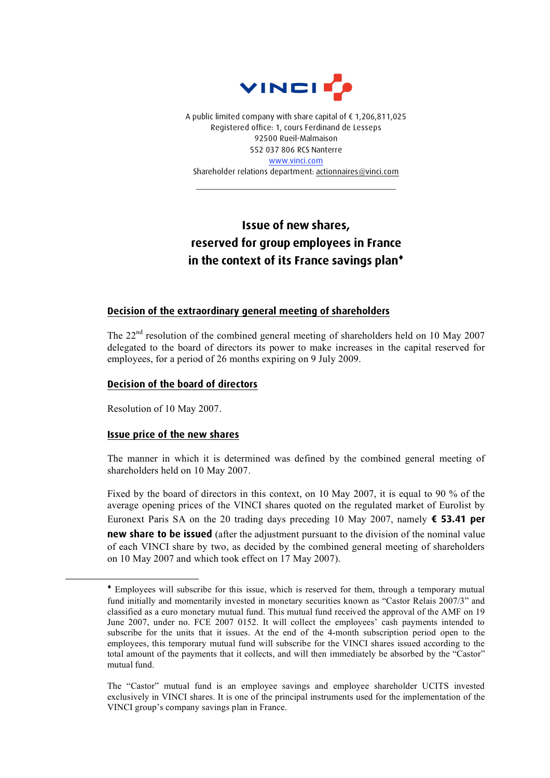

A public limited company with share capital of € 1,206,811,025 Registered office: 1, cours Ferdinand de Lesseps 92500 Rueil-Malmaison 552 037 806 RCS Nanterre www.vinci.com Shareholder relations department: actionnaires@vinci.com

 $\mathcal{L}_\text{max}$  , where  $\mathcal{L}_\text{max}$  and  $\mathcal{L}_\text{max}$  and  $\mathcal{L}_\text{max}$ 

# **Issue of new shares, reserved for group employees in France in the context of its France savings plan**!

# **Decision of the extraordinary general meeting of shareholders**

The 22<sup>nd</sup> resolution of the combined general meeting of shareholders held on 10 May 2007 delegated to the board of directors its power to make increases in the capital reserved for employees, for a period of 26 months expiring on 9 July 2009.

## **Decision of the board of directors**

Resolution of 10 May 2007.

 $\overline{a}$ 

### **Issue price of the new shares**

The manner in which it is determined was defined by the combined general meeting of shareholders held on 10 May 2007.

Fixed by the board of directors in this context, on 10 May 2007, it is equal to 90 % of the average opening prices of the VINCI shares quoted on the regulated market of Eurolist by Euronext Paris SA on the 20 trading days preceding 10 May 2007, namely **€ 53.41 per new share to be issued** (after the adjustment pursuant to the division of the nominal value of each VINCI share by two, as decided by the combined general meeting of shareholders on 10 May 2007 and which took effect on 17 May 2007).

<sup>!</sup> Employees will subscribe for this issue, which is reserved for them, through a temporary mutual fund initially and momentarily invested in monetary securities known as "Castor Relais 2007/3" and classified as a euro monetary mutual fund. This mutual fund received the approval of the AMF on 19 June 2007, under no. FCE 2007 0152. It will collect the employees' cash payments intended to subscribe for the units that it issues. At the end of the 4-month subscription period open to the employees, this temporary mutual fund will subscribe for the VINCI shares issued according to the total amount of the payments that it collects, and will then immediately be absorbed by the "Castor" mutual fund.

The "Castor" mutual fund is an employee savings and employee shareholder UCITS invested exclusively in VINCI shares. It is one of the principal instruments used for the implementation of the VINCI group's company savings plan in France.